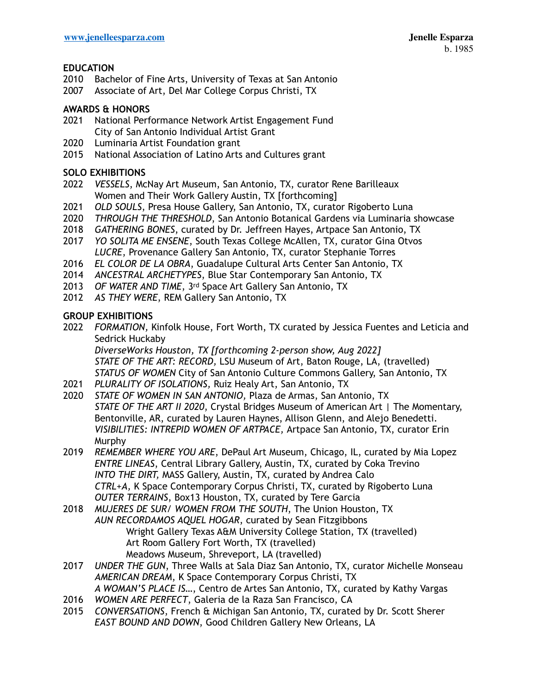# **EDUCATION**

- 2010 Bachelor of Fine Arts, University of Texas at San Antonio
- 2007 Associate of Art, Del Mar College Corpus Christi, TX

## **AWARDS & HONORS**

- 2021 National Performance Network Artist Engagement Fund City of San Antonio Individual Artist Grant
- 2020 Luminaria Artist Foundation grant
- 2015 National Association of Latino Arts and Cultures grant

### **SOLO EXHIBITIONS**

- 2022 *VESSELS*, McNay Art Museum, San Antonio, TX, curator Rene Barilleaux Women and Their Work Gallery Austin, TX [forthcoming]
- 2021 *OLD SOULS*, Presa House Gallery, San Antonio, TX, curator Rigoberto Luna
- 2020 *THROUGH THE THRESHOLD*, San Antonio Botanical Gardens via Luminaria showcase
- 2018 *GATHERING BONES*, curated by Dr. Jeffreen Hayes, Artpace San Antonio, TX
- 2017 *YO SOLITA ME ENSENE*, South Texas College McAllen, TX, curator Gina Otvos *LUCRE*, Provenance Gallery San Antonio, TX, curator Stephanie Torres
- 2016 *EL COLOR DE LA OBRA*, Guadalupe Cultural Arts Center San Antonio, TX
- 2014 *ANCESTRAL ARCHETYPES*, Blue Star Contemporary San Antonio, TX
- 2013 *OF WATER AND TIME*, 3rd Space Art Gallery San Antonio, TX
- 2012 *AS THEY WERE*, REM Gallery San Antonio, TX

## **GROUP EXHIBITIONS**

2022 *FORMATION,* Kinfolk House, Fort Worth, TX curated by Jessica Fuentes and Leticia and Sedrick Huckaby

*DiverseWorks Houston, TX [forthcoming 2-person show, Aug 2022] STATE OF THE ART: RECORD,* LSU Museum of Art, Baton Rouge, LA, (travelled) *STATUS OF WOMEN* City of San Antonio Culture Commons Gallery, San Antonio, TX

- 2021 *PLURALITY OF ISOLATIONS,* Ruiz Healy Art, San Antonio, TX
- 2020 *STATE OF WOMEN IN SAN ANTONIO,* Plaza de Armas, San Antonio, TX *STATE OF THE ART II 2020*, Crystal Bridges Museum of American Art | The Momentary, Bentonville, AR, curated by Lauren Haynes, Allison Glenn, and Alejo Benedetti. *VISIBILITIES: INTREPID WOMEN OF ARTPACE,* Artpace San Antonio, TX, curator Erin Murphy
- 2019 *REMEMBER WHERE YOU ARE*, DePaul Art Museum, Chicago, IL, curated by Mia Lopez *ENTRE LINEAS*, Central Library Gallery, Austin, TX, curated by Coka Trevino *INTO THE DIRT,* MASS Gallery, Austin, TX, curated by Andrea Calo *CTRL+A,* K Space Contemporary Corpus Christi, TX, curated by Rigoberto Luna *OUTER TERRAINS*, Box13 Houston, TX, curated by Tere Garcia
- 2018 *MUJERES DE SUR/ WOMEN FROM THE SOUTH*, The Union Houston, TX *AUN RECORDAMOS AQUEL HOGAR*, curated by Sean Fitzgibbons Wright Gallery Texas A&M University College Station, TX (travelled) Art Room Gallery Fort Worth, TX (travelled) Meadows Museum, Shreveport, LA (travelled)
- 2017 *UNDER THE GUN*, Three Walls at Sala Diaz San Antonio, TX, curator Michelle Monseau *AMERICAN DREAM*, K Space Contemporary Corpus Christi, TX *A WOMAN'S PLACE IS…*, Centro de Artes San Antonio, TX, curated by Kathy Vargas
- 2016 *WOMEN ARE PERFECT*, Galeria de la Raza San Francisco, CA
- 2015 *CONVERSATIONS*, French & Michigan San Antonio, TX, curated by Dr. Scott Sherer *EAST BOUND AND DOWN*, Good Children Gallery New Orleans, LA